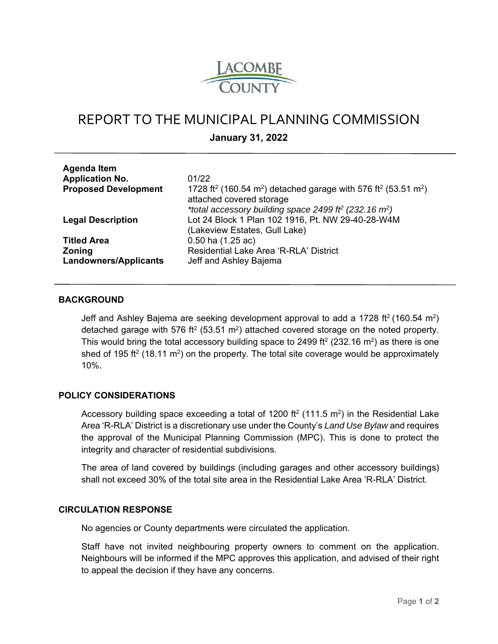

# REPORT TO THE MUNICIPAL PLANNING COMMISSION

**January 31, 2022** 

| <b>Agenda Item</b>           |                                                                                                                                            |
|------------------------------|--------------------------------------------------------------------------------------------------------------------------------------------|
| <b>Application No.</b>       | 01/22                                                                                                                                      |
| <b>Proposed Development</b>  | 1728 ft <sup>2</sup> (160.54 m <sup>2</sup> ) detached garage with 576 ft <sup>2</sup> (53.51 m <sup>2</sup> )<br>attached covered storage |
|                              | *total accessory building space 2499 ff <sup>2</sup> (232.16 m <sup>2</sup> )                                                              |
| <b>Legal Description</b>     | Lot 24 Block 1 Plan 102 1916, Pt. NW 29-40-28-W4M                                                                                          |
|                              | (Lakeview Estates, Gull Lake)                                                                                                              |
| <b>Titled Area</b>           | $0.50$ ha $(1.25$ ac)                                                                                                                      |
| <b>Zoning</b>                | Residential Lake Area 'R-RLA' District                                                                                                     |
| <b>Landowners/Applicants</b> | Jeff and Ashley Bajema                                                                                                                     |
|                              |                                                                                                                                            |

### **BACKGROUND**

Jeff and Ashley Bajema are seeking development approval to add a 1728 ft<sup>2</sup> (160.54 m<sup>2</sup>) detached garage with 576 ft<sup>2</sup> (53.51 m<sup>2</sup>) attached covered storage on the noted property. This would bring the total accessory building space to 2499 ft<sup>2</sup> (232.16 m<sup>2</sup>) as there is one shed of 195 ft<sup>2</sup> (18.11 m<sup>2</sup>) on the property. The total site coverage would be approximately 10%.

#### **POLICY CONSIDERATIONS**

Accessory building space exceeding a total of 1200 ft<sup>2</sup> (111.5 m<sup>2</sup>) in the Residential Lake Area 'R-RLA' District is a discretionary use under the County's *Land Use Bylaw* and requires the approval of the Municipal Planning Commission (MPC). This is done to protect the integrity and character of residential subdivisions.

The area of land covered by buildings (including garages and other accessory buildings) shall not exceed 30% of the total site area in the Residential Lake Area 'R-RLA' District.

## **CIRCULATION RESPONSE**

No agencies or County departments were circulated the application.

Staff have not invited neighbouring property owners to comment on the application. Neighbours will be informed if the MPC approves this application, and advised of their right to appeal the decision if they have any concerns.